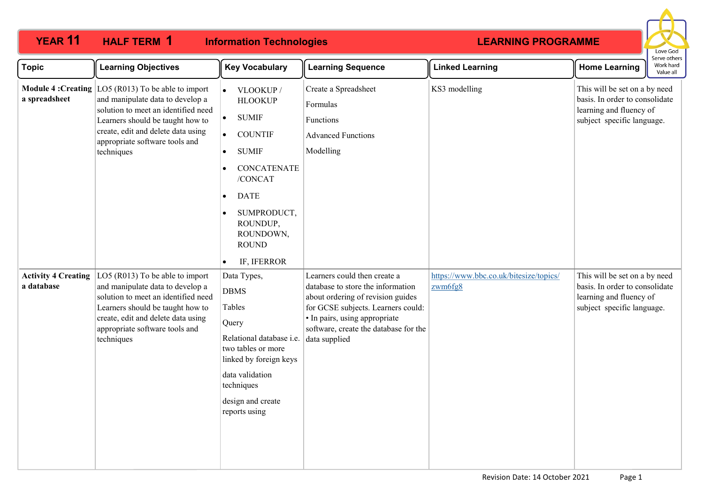| <b>YEAR 11</b>                             | <b>HALF TERM 1</b><br><b>Information Technologies</b>                                                                                                                                                                                        |                                                                                                                                                                                                                                                          |                                                                                                                                                                                                                                         | <b>LEARNING PROGRAMME</b>                         |                                                                                                                          |                                        |
|--------------------------------------------|----------------------------------------------------------------------------------------------------------------------------------------------------------------------------------------------------------------------------------------------|----------------------------------------------------------------------------------------------------------------------------------------------------------------------------------------------------------------------------------------------------------|-----------------------------------------------------------------------------------------------------------------------------------------------------------------------------------------------------------------------------------------|---------------------------------------------------|--------------------------------------------------------------------------------------------------------------------------|----------------------------------------|
| <b>Topic</b>                               | <b>Learning Objectives</b>                                                                                                                                                                                                                   | <b>Key Vocabulary</b>                                                                                                                                                                                                                                    | <b>Learning Sequence</b>                                                                                                                                                                                                                | <b>Linked Learning</b>                            | <b>Home Learning</b>                                                                                                     | Serve others<br>Work hard<br>Value all |
| <b>Module 4: Creating</b><br>a spreadsheet | $\vert$ LO5 (R013) To be able to import<br>and manipulate data to develop a<br>solution to meet an identified need<br>Learners should be taught how to<br>create, edit and delete data using<br>appropriate software tools and<br>techniques | VLOOKUP /<br><b>HLOOKUP</b><br>$\bullet$<br><b>SUMIF</b><br><b>COUNTIF</b><br>$\bullet$<br><b>SUMIF</b><br>$\bullet$<br><b>CONCATENATE</b><br>/CONCAT<br><b>DATE</b><br>$\bullet$<br>SUMPRODUCT,<br>ROUNDUP,<br>ROUNDOWN,<br><b>ROUND</b><br>IF, IFERROR | Create a Spreadsheet<br>Formulas<br>Functions<br><b>Advanced Functions</b><br>Modelling                                                                                                                                                 | KS3 modelling                                     | This will be set on a by need<br>basis. In order to consolidate<br>learning and fluency of<br>subject specific language. |                                        |
| <b>Activity 4 Creating</b><br>a database   | LO5 (R013) To be able to import<br>and manipulate data to develop a<br>solution to meet an identified need<br>Learners should be taught how to<br>create, edit and delete data using<br>appropriate software tools and<br>techniques         | Data Types,<br><b>DBMS</b><br>Tables<br>Query<br>Relational database i.e.<br>two tables or more<br>linked by foreign keys<br>data validation<br>techniques<br>design and create<br>reports using                                                         | Learners could then create a<br>database to store the information<br>about ordering of revision guides<br>for GCSE subjects. Learners could:<br>• In pairs, using appropriate<br>software, create the database for the<br>data supplied | https://www.bbc.co.uk/bitesize/topics/<br>zwm6fg8 | This will be set on a by need<br>basis. In order to consolidate<br>learning and fluency of<br>subject specific language. |                                        |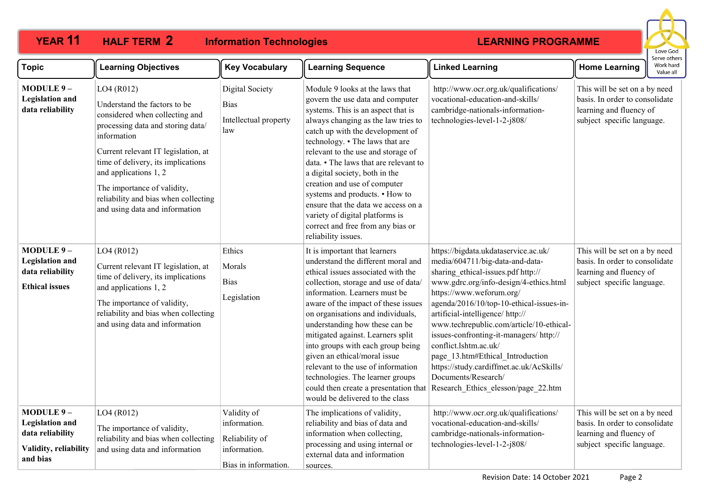# **HALF TERM 2**

**YEAR 11 HALF TERM Information Technologies**



| <b>Topic</b>                                                                                 | <b>Learning Objectives</b>                                                                                                                                                                                                                                                                                                                      | <b>Key Vocabulary</b>                                                                 | <b>Learning Sequence</b>                                                                                                                                                                                                                                                                                                                                                                                                                                                                                                                                         | <b>Linked Learning</b>                                                                                                                                                                                                                                                                                                                                                                                                                                                                                                          | <b>Home Learning</b>                                                                                                     | Work hard<br>Value all |
|----------------------------------------------------------------------------------------------|-------------------------------------------------------------------------------------------------------------------------------------------------------------------------------------------------------------------------------------------------------------------------------------------------------------------------------------------------|---------------------------------------------------------------------------------------|------------------------------------------------------------------------------------------------------------------------------------------------------------------------------------------------------------------------------------------------------------------------------------------------------------------------------------------------------------------------------------------------------------------------------------------------------------------------------------------------------------------------------------------------------------------|---------------------------------------------------------------------------------------------------------------------------------------------------------------------------------------------------------------------------------------------------------------------------------------------------------------------------------------------------------------------------------------------------------------------------------------------------------------------------------------------------------------------------------|--------------------------------------------------------------------------------------------------------------------------|------------------------|
| MODULE 9-<br><b>Legislation</b> and<br>data reliability                                      | LO4 (R012)<br>Understand the factors to be<br>considered when collecting and<br>processing data and storing data/<br>information<br>Current relevant IT legislation, at<br>time of delivery, its implications<br>and applications 1, 2<br>The importance of validity,<br>reliability and bias when collecting<br>and using data and information | <b>Digital Society</b><br><b>Bias</b><br>Intellectual property<br>law                 | Module 9 looks at the laws that<br>govern the use data and computer<br>systems. This is an aspect that is<br>always changing as the law tries to<br>catch up with the development of<br>technology. • The laws that are<br>relevant to the use and storage of<br>data. • The laws that are relevant to<br>a digital society, both in the<br>creation and use of computer<br>systems and products. • How to<br>ensure that the data we access on a<br>variety of digital platforms is<br>correct and free from any bias or<br>reliability issues.                 | http://www.ocr.org.uk/qualifications/<br>vocational-education-and-skills/<br>cambridge-nationals-information-<br>technologies-level-1-2-j808/                                                                                                                                                                                                                                                                                                                                                                                   | This will be set on a by need<br>basis. In order to consolidate<br>learning and fluency of<br>subject specific language. |                        |
| MODULE 9-<br><b>Legislation</b> and<br>data reliability<br><b>Ethical issues</b>             | LO4 (R012)<br>Current relevant IT legislation, at<br>time of delivery, its implications<br>and applications 1, 2<br>The importance of validity,<br>reliability and bias when collecting<br>and using data and information                                                                                                                       | Ethics<br>Morals<br><b>Bias</b><br>Legislation                                        | It is important that learners<br>understand the different moral and<br>ethical issues associated with the<br>collection, storage and use of data/<br>information. Learners must be<br>aware of the impact of these issues<br>on organisations and individuals,<br>understanding how these can be<br>mitigated against. Learners split<br>into groups with each group being<br>given an ethical/moral issue<br>relevant to the use of information<br>technologies. The learner groups<br>could then create a presentation that<br>would be delivered to the class | https://bigdata.ukdataservice.ac.uk/<br>media/604711/big-data-and-data-<br>sharing ethical-issues.pdf http://<br>www.gdrc.org/info-design/4-ethics.html<br>https://www.weforum.org/<br>agenda/2016/10/top-10-ethical-issues-in-<br>artificial-intelligence/http://<br>www.techrepublic.com/article/10-ethical-<br>issues-confronting-it-managers/http://<br>conflict.lshtm.ac.uk/<br>page_13.htm#Ethical_Introduction<br>https://study.cardiffmet.ac.uk/AcSkills/<br>Documents/Research/<br>Research Ethics elesson/page 22.htm | This will be set on a by need<br>basis. In order to consolidate<br>learning and fluency of<br>subject specific language. |                        |
| MODULE 9-<br><b>Legislation and</b><br>data reliability<br>Validity, reliability<br>and bias | LO4 (R012)<br>The importance of validity,<br>reliability and bias when collecting<br>and using data and information                                                                                                                                                                                                                             | Validity of<br>information.<br>Reliability of<br>information.<br>Bias in information. | The implications of validity,<br>reliability and bias of data and<br>information when collecting,<br>processing and using internal or<br>external data and information<br>sources.                                                                                                                                                                                                                                                                                                                                                                               | http://www.ocr.org.uk/qualifications/<br>vocational-education-and-skills/<br>cambridge-nationals-information-<br>technologies-level-1-2-j808/                                                                                                                                                                                                                                                                                                                                                                                   | This will be set on a by need<br>basis. In order to consolidate<br>learning and fluency of<br>subject specific language. |                        |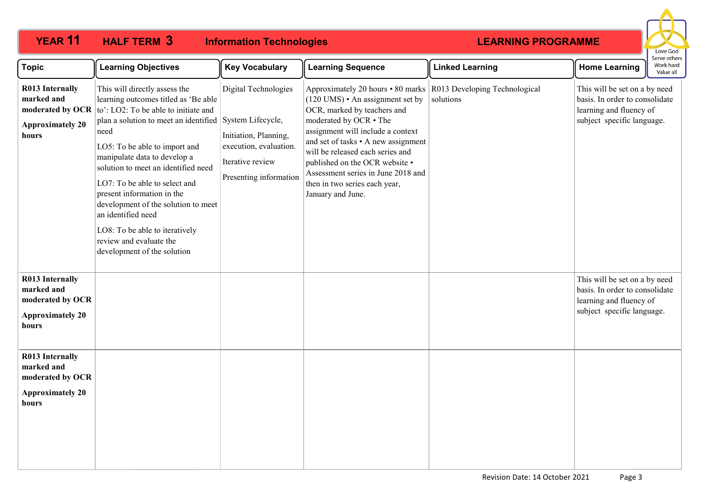#### **YEAR 11 HALF TERM Information Technologies** Love God Serve others **Topic Learning Objectives Key Vocabulary Learning Sequence Linked Learning Home Learning** Work hard Value all This will directly assess the Digital Technologies R013 Developing Technological **R013 Internally**  Approximately 20 hours • 80 marks This will be set on a by need **marked and**  learning outcomes titled as 'Be able  $(120 \text{ UMS}) \cdot$  An assignment set by solutions basis. In order to consolidate OCR, marked by teachers and **moderated by OCR** to': LO2: To be able to initiate and learning and fluency of moderated by OCR • The subject specific language. plan a solution to meet an identified System Lifecycle, **Approximately 20**  need assignment will include a context **hours** Initiation, Planning, and set of tasks • A new assignment execution, evaluation. LO5: To be able to import and will be released each series and manipulate data to develop a Iterative review published on the OCR website • solution to meet an identified need Assessment series in June 2018 and Presenting information LO7: To be able to select and then in two series each year, present information in the January and June. development of the solution to meet an identified need LO8: To be able to iteratively review and evaluate the development of the solution **R013 Internally**  This will be set on a by need **marked and**  basis. In order to consolidate **moderated by OCR**  learning and fluency of subject specific language. **Approximately 20 hours R013 Internally marked and moderated by OCR Approximately 20 hours**

**HALF TERM 3**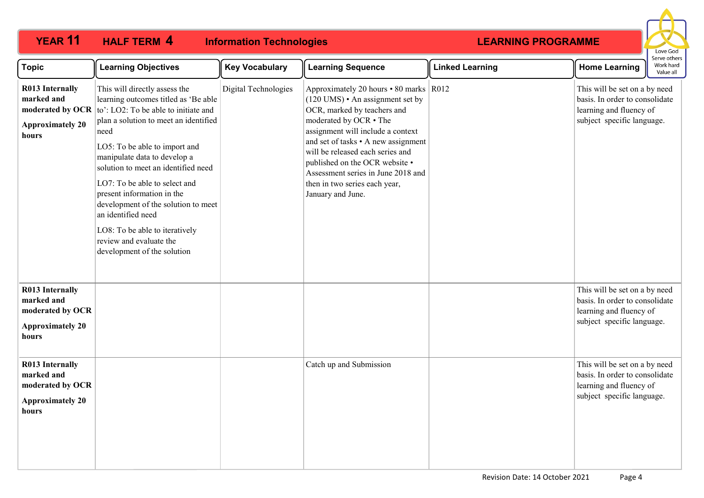| <b>Topic</b>                                                                                 | <b>Learning Objectives</b>                                                                                                                                                                                                                                                                                                                                                                                                                                                                     | <b>Key Vocabulary</b> | <b>Learning Sequence</b>                                                                                                                                                                                                                                                                                                                                                            | <b>Linked Learning</b> | <b>Home Learning</b>                                                                                                     | LUVE OUU<br>Serve others<br>Work hard<br>Value all |
|----------------------------------------------------------------------------------------------|------------------------------------------------------------------------------------------------------------------------------------------------------------------------------------------------------------------------------------------------------------------------------------------------------------------------------------------------------------------------------------------------------------------------------------------------------------------------------------------------|-----------------------|-------------------------------------------------------------------------------------------------------------------------------------------------------------------------------------------------------------------------------------------------------------------------------------------------------------------------------------------------------------------------------------|------------------------|--------------------------------------------------------------------------------------------------------------------------|----------------------------------------------------|
| <b>R013 Internally</b><br>marked and<br>moderated by OCR<br><b>Approximately 20</b><br>hours | This will directly assess the<br>learning outcomes titled as 'Be able<br>to': LO2: To be able to initiate and<br>plan a solution to meet an identified<br>need<br>LO5: To be able to import and<br>manipulate data to develop a<br>solution to meet an identified need<br>LO7: To be able to select and<br>present information in the<br>development of the solution to meet<br>an identified need<br>LO8: To be able to iteratively<br>review and evaluate the<br>development of the solution | Digital Technologies  | Approximately 20 hours • 80 marks   R012<br>(120 UMS) • An assignment set by<br>OCR, marked by teachers and<br>moderated by OCR . The<br>assignment will include a context<br>and set of tasks • A new assignment<br>will be released each series and<br>published on the OCR website •<br>Assessment series in June 2018 and<br>then in two series each year,<br>January and June. |                        | This will be set on a by need<br>basis. In order to consolidate<br>learning and fluency of<br>subject specific language. |                                                    |
| <b>R013 Internally</b><br>marked and<br>moderated by OCR<br><b>Approximately 20</b><br>hours |                                                                                                                                                                                                                                                                                                                                                                                                                                                                                                |                       |                                                                                                                                                                                                                                                                                                                                                                                     |                        | This will be set on a by need<br>basis. In order to consolidate<br>learning and fluency of<br>subject specific language. |                                                    |
| <b>R013 Internally</b><br>marked and<br>moderated by OCR<br><b>Approximately 20</b><br>hours |                                                                                                                                                                                                                                                                                                                                                                                                                                                                                                |                       | Catch up and Submission                                                                                                                                                                                                                                                                                                                                                             |                        | This will be set on a by need<br>basis. In order to consolidate<br>learning and fluency of<br>subject specific language. |                                                    |

**YEAR 11 HALF TERM Information Technologies**

**HALF TERM 4**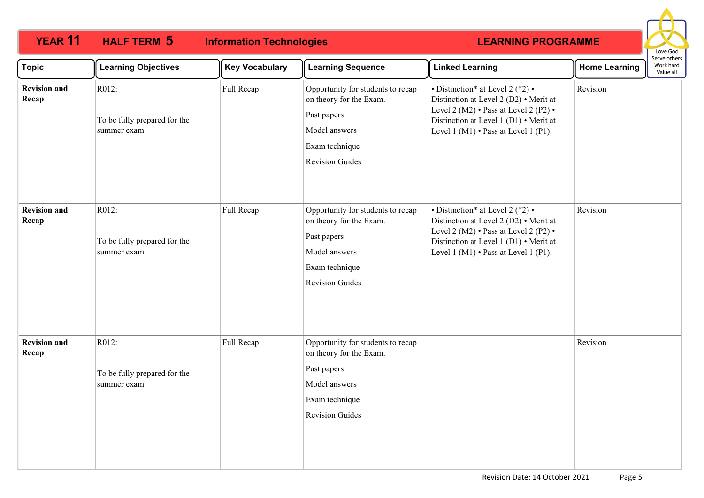### **YEAR 11 HALF TERM 5 Information Technologies HALF TERM 5**



| <b>Topic</b>                 | <b>Learning Objectives</b>                            | <b>Key Vocabulary</b> | <b>Learning Sequence</b>                                                                                                                 | <b>Linked Learning</b>                                                                                                                                                                                                                   | <b>Home Learning</b> | Work hard<br>Value all |  |
|------------------------------|-------------------------------------------------------|-----------------------|------------------------------------------------------------------------------------------------------------------------------------------|------------------------------------------------------------------------------------------------------------------------------------------------------------------------------------------------------------------------------------------|----------------------|------------------------|--|
| <b>Revision and</b><br>Recap | R012:<br>To be fully prepared for the<br>summer exam. | Full Recap            | Opportunity for students to recap<br>on theory for the Exam.<br>Past papers<br>Model answers<br>Exam technique<br><b>Revision Guides</b> | $\cdot$ Distinction* at Level 2 (*2) $\cdot$<br>Distinction at Level 2 (D2) • Merit at<br>Level 2 (M2) $\cdot$ Pass at Level 2 (P2) $\cdot$<br>Distinction at Level 1 (D1) • Merit at<br>Level $1(M1) \cdot$ Pass at Level $1(P1)$ .     | Revision             |                        |  |
| <b>Revision and</b><br>Recap | R012:<br>To be fully prepared for the<br>summer exam. | Full Recap            | Opportunity for students to recap<br>on theory for the Exam.<br>Past papers<br>Model answers<br>Exam technique<br><b>Revision Guides</b> | $\bullet$ Distinction* at Level 2 (*2) $\bullet$<br>Distinction at Level 2 (D2) • Merit at<br>Level 2 (M2) $\cdot$ Pass at Level 2 (P2) $\cdot$<br>Distinction at Level 1 (D1) • Merit at<br>Level $1(M1) \cdot$ Pass at Level $1(P1)$ . | Revision             |                        |  |
| <b>Revision and</b><br>Recap | R012:<br>To be fully prepared for the<br>summer exam. | Full Recap            | Opportunity for students to recap<br>on theory for the Exam.<br>Past papers<br>Model answers<br>Exam technique<br><b>Revision Guides</b> |                                                                                                                                                                                                                                          | Revision             |                        |  |